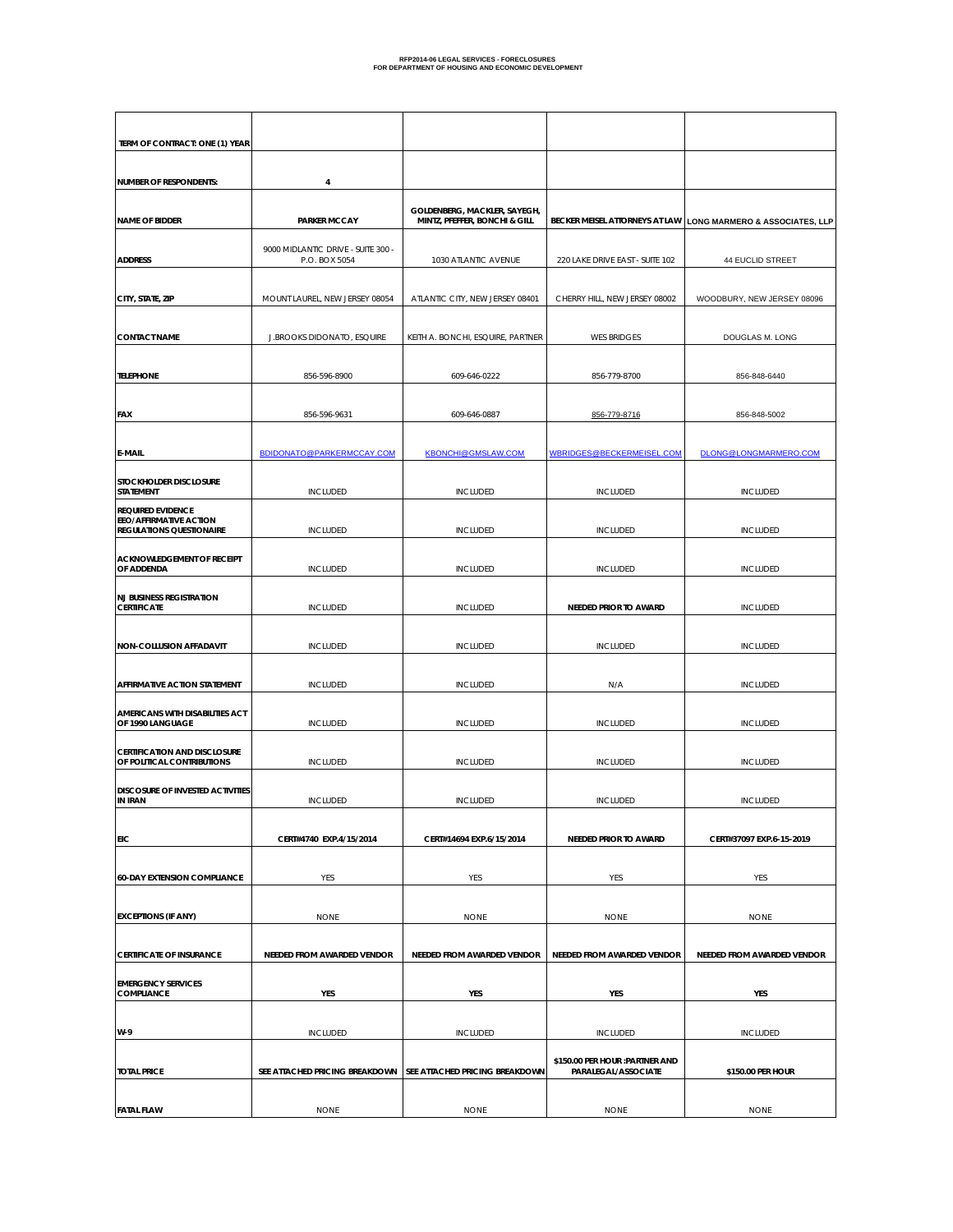| TERM OF CONTRACT: ONE (1) YEAR                                                        |                                                     |                                                               |                                                        |                                   |
|---------------------------------------------------------------------------------------|-----------------------------------------------------|---------------------------------------------------------------|--------------------------------------------------------|-----------------------------------|
| <b>NUMBER OF RESPONDENTS:</b>                                                         | 4                                                   |                                                               |                                                        |                                   |
| <b>NAME OF BIDDER</b>                                                                 | <b>PARKER MCCAY</b>                                 | GOLDENBERG, MACKLER, SAYEGH,<br>MINTZ, PFEFFER, BONCHI & GILL | BECKER MEISEL ATTORNEYS AT LAW                         | LONG MARMERO & ASSOCIATES, LLP    |
| <b>ADDRESS</b>                                                                        | 9000 MIDLANTIC DRIVE - SUITE 300 -<br>P.O. BOX 5054 | 1030 ATLANTIC AVENUE                                          | 220 LAKE DRIVE EAST - SUITE 102                        | 44 EUCLID STREET                  |
| CITY, STATE, ZIP                                                                      | MOUNT LAUREL, NEW JERSEY 08054                      | ATLANTIC CITY, NEW JERSEY 08401                               | CHERRY HILL, NEW JERSEY 08002                          | WOODBURY, NEW JERSEY 08096        |
| <b>CONTACT NAME</b>                                                                   | J.BROOKS DIDONATO, ESQUIRE                          | KEITH A. BONCHI, ESQUIRE, PARTNER                             | <b>WES BRIDGES</b>                                     | DOUGLAS M. LONG                   |
| <b>TELEPHONE</b>                                                                      | 856-596-8900                                        | 609-646-0222                                                  | 856-779-8700                                           | 856-848-6440                      |
| FAX                                                                                   | 856-596-9631                                        | 609-646-0887                                                  | 856-779-8716                                           | 856-848-5002                      |
| E-MAIL                                                                                | BDIDONATO@PARKERMCCAY.COM                           | <b>KBONCHI@GMSLAW.COM</b>                                     | WBRIDGES@BECKERMEISEL.COM                              | DLONG@LONGMARMERO.COM             |
| STOCKHOLDER DISCLOSURE<br><b>STATEMENT</b>                                            | INCLUDED                                            | <b>INCLUDED</b>                                               | <b>INCLUDED</b>                                        | <b>INCLUDED</b>                   |
| <b>REQUIRED EVIDENCE</b><br>EEO/AFFIRMATIVE ACTION<br><b>REGULATIONS QUESTIONAIRE</b> | <b>INCLUDED</b>                                     | <b>INCLUDED</b>                                               | <b>INCLUDED</b>                                        | <b>INCLUDED</b>                   |
| <b>ACKNOWLEDGEMENT OF RECEIPT</b><br>OF ADDENDA                                       | <b>INCLUDED</b>                                     | <b>INCLUDED</b>                                               | <b>INCLUDED</b>                                        | <b>INCLUDED</b>                   |
| <b>NJ BUSINESS REGISTRATION</b><br><b>CERTIFICATE</b>                                 | <b>INCLUDED</b>                                     | <b>INCLUDED</b>                                               | NEEDED PRIOR TO AWARD                                  | <b>INCLUDED</b>                   |
| NON-COLLUSION AFFADAVIT                                                               | <b>INCLUDED</b>                                     | <b>INCLUDED</b>                                               | <b>INCLUDED</b>                                        | <b>INCLUDED</b>                   |
| AFFIRMATIVE ACTION STATEMENT                                                          | <b>INCLUDED</b>                                     | <b>INCLUDED</b>                                               | N/A                                                    | <b>INCLUDED</b>                   |
| AMERICANS WITH DISABILITIES ACT<br>OF 1990 LANGUAGE                                   | <b>INCLUDED</b>                                     | <b>INCLUDED</b>                                               | <b>INCLUDED</b>                                        | <b>INCLUDED</b>                   |
| <b>CERTIFICATION AND DISCLOSURE</b><br>OF POLITICAL CONTRIBUTIONS                     | <b>INCLUDED</b>                                     | <b>INCLUDED</b>                                               | <b>INCLUDED</b>                                        | <b>INCLUDED</b>                   |
| DISCOSURE OF INVESTED ACTIVITIES<br><b>IN IRAN</b>                                    | <b>INCLUDED</b>                                     | <b>INCLUDED</b>                                               | <b>INCLUDED</b>                                        | <b>INCLUDED</b>                   |
| EIC                                                                                   | CERT#4740 EXP.4/15/2014                             | CERT#14694 EXP.6/15/2014                                      | NEEDED PRIOR TO AWARD                                  | CERT#37097 EXP.6-15-2019          |
| <b>60-DAY EXTENSION COMPLIANCE</b>                                                    | YES                                                 | YES                                                           | YES                                                    | YES                               |
| <b>EXCEPTIONS (IF ANY)</b>                                                            | <b>NONE</b>                                         | <b>NONE</b>                                                   | <b>NONE</b>                                            | <b>NONE</b>                       |
| <b>CERTIFICATE OF INSURANCE</b>                                                       | <b>NEEDED FROM AWARDED VENDOR</b>                   | NEEDED FROM AWARDED VENDOR                                    | NEEDED FROM AWARDED VENDOR                             | <b>NEEDED FROM AWARDED VENDOR</b> |
| <b>EMERGENCY SERVICES</b><br><b>COMPLIANCE</b>                                        | YES                                                 | YES                                                           | YES                                                    | YES                               |
| W-9                                                                                   | <b>INCLUDED</b>                                     | <b>INCLUDED</b>                                               | <b>INCLUDED</b>                                        | <b>INCLUDED</b>                   |
| <b>TOTAL PRICE</b>                                                                    | SEE ATTACHED PRICING BREAKDOWN                      | SEE ATTACHED PRICING BREAKDOWN                                | \$150.00 PER HOUR : PARTNER AND<br>PARALEGAL/ASSOCIATE | \$150.00 PER HOUR                 |
| <b>FATAL FLAW</b>                                                                     | <b>NONE</b>                                         | <b>NONE</b>                                                   | <b>NONE</b>                                            | <b>NONE</b>                       |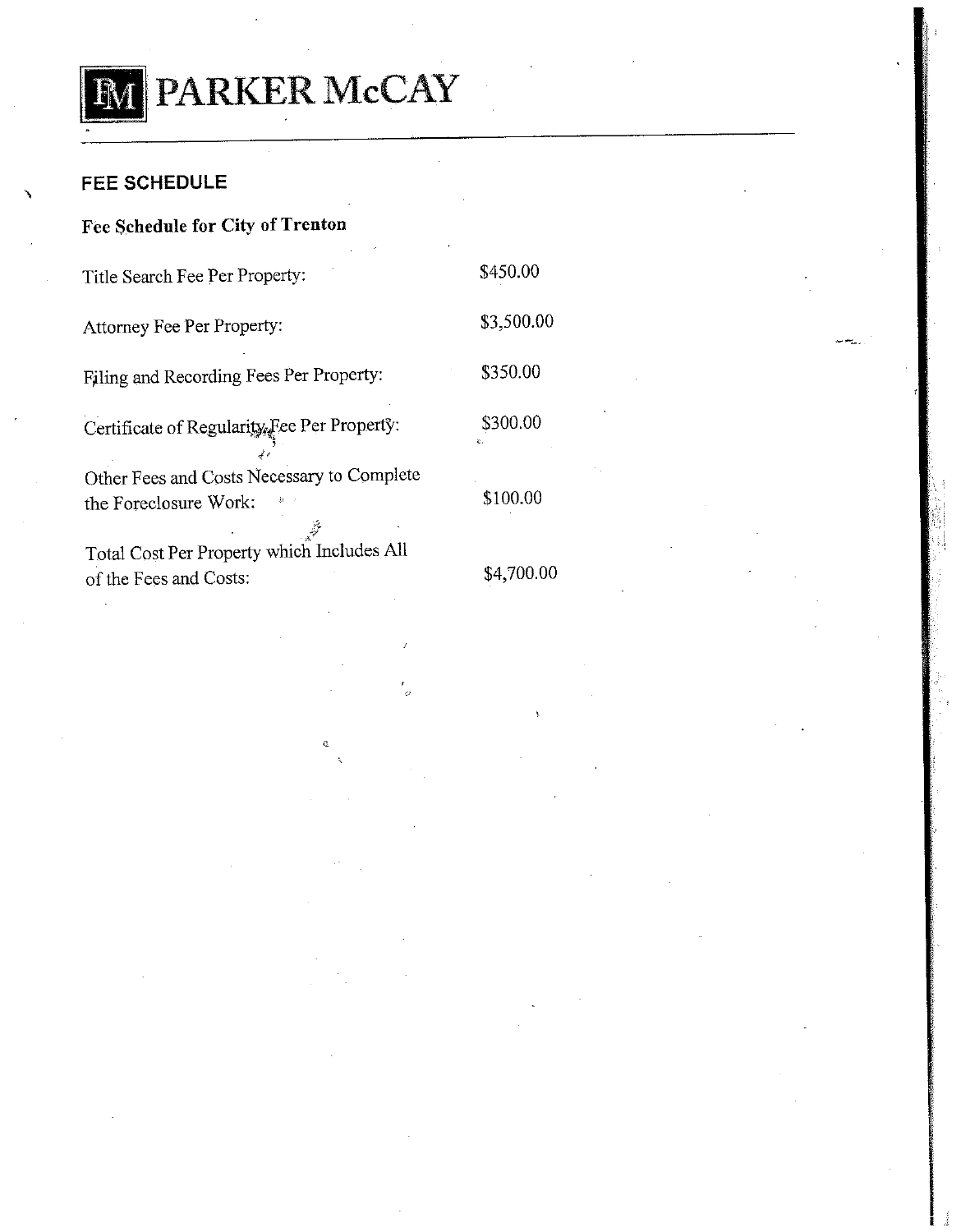

# **FEE SCHEDULE**

### Fee Schedule for City of Trenton

Title Search Fee Per Property:

Attorney Fee Per Property:

Filing and Recording Fees Per Property:

Certificate of Regularity, Fee Per Property:

Other Fees and Costs Necessary to Complete the Foreclosure Work:

Total Cost Per Property which Includes All of the Fees and Costs:

\$4,700.00

\$450.00

\$3,500.00

\$350.00

\$300.00

\$100.00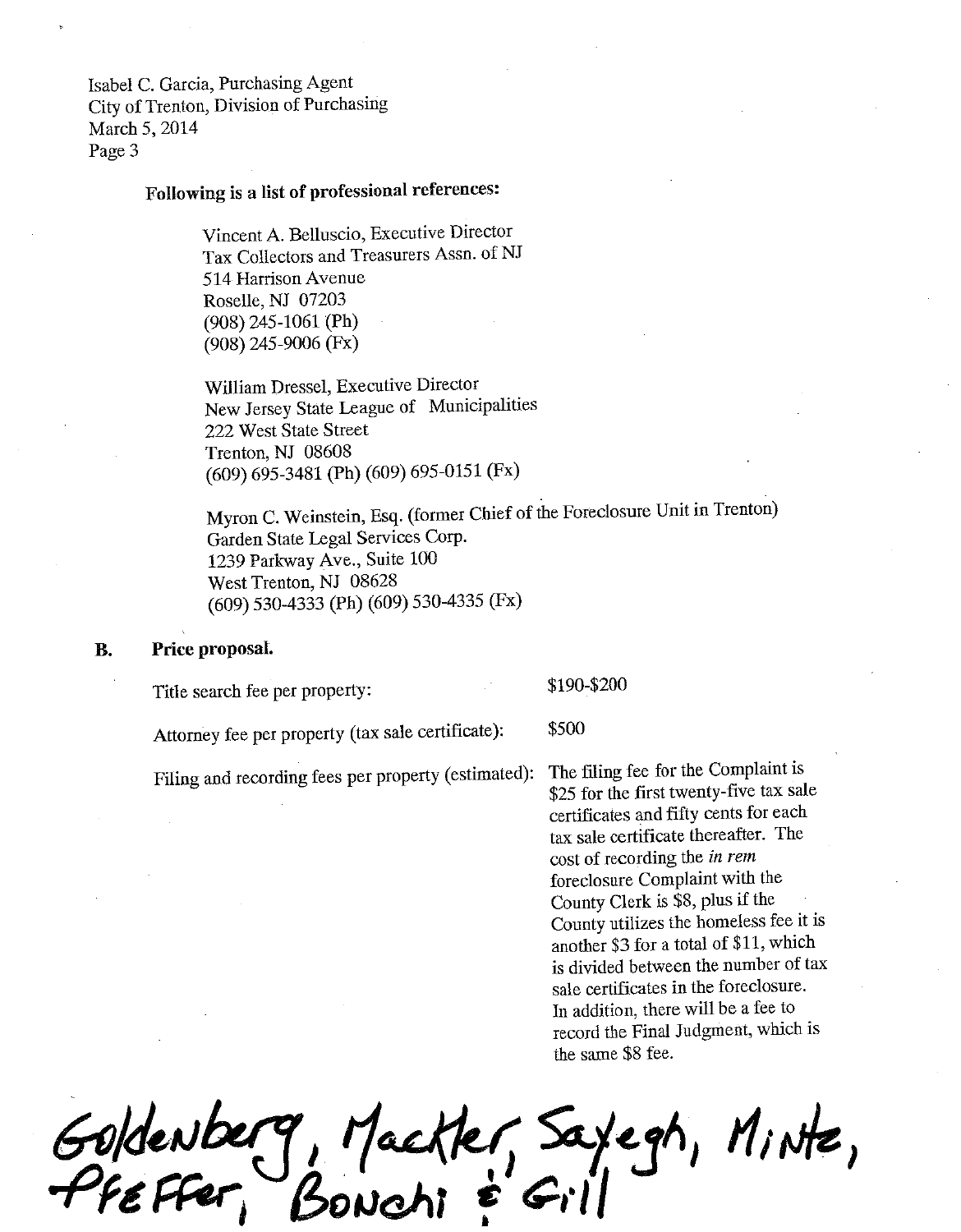Isabel C. Garcia, Purchasing Agent City of Trenton, Division of Purchasing March 5, 2014 Page 3

# Following is a list of professional references:

Vincent A. Belluscio, Executive Director Tax Collectors and Treasurers Assn. of NJ 514 Harrison Avenue Roselle, NJ 07203  $(908)$  245-1061 (Ph)  $(908)$  245-9006 (Fx)

William Dressel, Executive Director New Jersey State League of Municipalities 222 West State Street Trenton, NJ 08608 (609) 695-3481 (Ph) (609) 695-0151 (Fx)

Myron C. Weinstein, Esq. (former Chief of the Foreclosure Unit in Trenton) Garden State Legal Services Corp. 1239 Parkway Ave., Suite 100 West Trenton, NJ 08628 (609) 530-4333 (Ph) (609) 530-4335 (Fx)

#### **B.** Price proposal.

Title search fee per property:

\$190-\$200

\$500

Attorney fee per property (tax sale certificate):

Filing and recording fees per property (estimated):

The filing fee for the Complaint is \$25 for the first twenty-five tax sale certificates and fifty cents for each tax sale certificate thereafter. The cost of recording the in rem foreclosure Complaint with the County Clerk is \$8, plus if the County utilizes the homeless fee it is another \$3 for a total of \$11, which is divided between the number of tax sale certificates in the foreclosure. In addition, there will be a fee to record the Final Judgment, which is the same \$8 fee.

Goldenberg, Mackler, Saylegh, Minte,